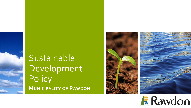





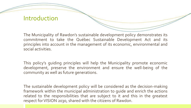#### Introduction

The Municipality of Rawdon's sustainable development policy demonstrates its commitment to take the Québec Sustainable Development Act and its principles into account in the management of its economic, environmental and social activities.

This policy's guiding principles will help the Municipality promote economic development, preserve the environment and ensure the well-being of the community as well as future generations.

The sustainable development policy will be considered as the decision-making framework within the municipal administration to guide and enrich the actions related to the responsibilities that are subject to it and this in the greatest respect for VISION 2030, shared with the citizens of Rawdon.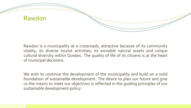

Rawdon is a municipality at a crossroads, attractive because of its community vitality, its diverse tourist activities, its enviable natural assets and unique cultural diversity within Quebec. The quality of life of its citizens is at the heart of municipal decisions.

We wish to continue the development of the municipality and build on a solid foundation of sustainable development. The desire to plan our future and give us the means to meet our objectives is reflected in the guiding principles of our sustainable development policy: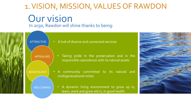## Our vision In 2030, Rawdon will shine thanks to being: 1. VISION, MISSION, VALUES OF RAWDON

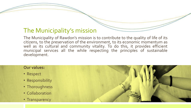#### The Municipality's mission

The Municipality of Rawdon's mission is to contribute to the quality of life of its citizens, to the preservation of the environment, to its economic momentum as well as its cultural and community vitality. To do this, it provides efficient municipal services all the while respecting the principles of sustainable development.

#### **Our values:**

- Respect
- Responsibility
- Thoroughness
- Collaboration
- Transparency

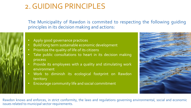#### 2. GUIDING PRINCIPLES

The Municipality of Rawdon is commited to respecting the following guiding principles in its decision making and actions:

- 
- Apply good governance practices
- Build long term sustainable economic development
- Prioritize the quality of life of its citizens
- Take public consultations to heart in its decision making process
- Provide its employees with a quality and stimulating work environment
- Work to diminish its ecological footprint on Rawdon territory
- Encourage community life and social commitment



Rawdon knows and enforces, in strict conformity, the laws and regulations governing environmental, social and economic issues related to municipal sector requirements.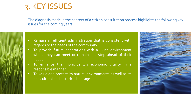#### 3. KEY ISSUES

The diagnosis made in the context of a citizen consultation process highlights the following key issues for the coming years:

- 
- Remain an efficient administration that is consistent with regards to the needs of the community
- To provide future generations with a living environment where they can meet or remain one step ahead of their needs
- To enhance the municipality's economic vitality in a responsible manner
- To value and protect its natural environments as well as its rich cultural and historical heritage

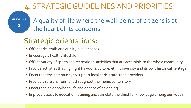## 4. STRATEGIC GUIDELINES AND PRIORITIES

**GUIDELINE**

1

#### A quality of life where the well-being of citizens is at the heart of its concerns

## Strategic orientations:

- Offer parks, trails and quality public spaces
- Encourage a healthy lifestyle
- Offer a variety of sports and recreational activities that are accessible to the whole community
- Provide activities that highlight Rawdon's culture, ethnic diversity and its built historical heritage
- Encourage the community to support local agricultural food providers
- Provide a safe environment throughout the municipal territory
- Encourage neighborhood life and a sense of belonging
- Improve access to education, training and stimulate the thirst for knowledge among our youth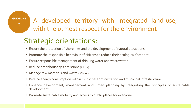**GUIDELINE** 2

#### A developed territory with integrated land-use, with the utmost respect for the environment

#### Strategic orientations:

- Ensure the protection of shorelines and the development of natural attractions
- Promote the responsible behaviour of citizens to reduce their ecological footprint
- Ensure responsible management of drinking water and wastewater
- Reduce greenhouse gas emissions (GHG)
- Manage raw materials and waste (MRW)
- Reduce energy consumption within municipal administration and municipal infrastructure
- Enhance development, management and urban planning by integrating the principles of sustainable development
- Promote sustainable mobility and access to public places for everyone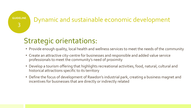#### Dynamic and sustainable economic development

#### Strategic orientations:

**GUIDELINE**

3

- Provide enough quality, local health and wellness services to meet the needs of the community
- Create an attractive city-centre for businesses and responsible and added value service professionals to meet the community's need of proximity
- Develop a tourism offering that highlights recreational activities, food, natural, cultural and historical attractions specific to its territory
- Define the focus of development of Rawdon's industrial park, creating a business magnet and incentives for businesses that are directly or indirectly related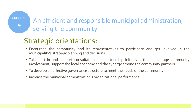**GUIDELINE**

4

#### An efficient and responsible municipal administration, serving the community

#### Strategic orientations:

- Encourage the community and its representatives to participate and get involved in the municipality's strategic planning and decisions
- Take part in and support consultation and partnership initiatives that encourage community involvement, support the local economy and the synergy among the community partners
- To develop an effective governance structure to meet the needs of the community
- Increase the municipal administration's organizational performance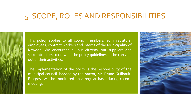#### 5. SCOPE, ROLES AND RESPONSIBILITIES



This policy applies to all council members, administrators, employees, contract workers and interns of the Municipality of Rawdon. We encourage all our citizens, our suppliers and subcontractors to draw on the policy guidelines in the carrying out of their activities.

The implementation of the policy is the responsibility of the municipal council, headed by the mayor, Mr. Bruno Guilbault. Progress will be monitored on a regular basis during council meetings.

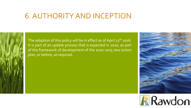#### 6. AUTHORITY AND INCEPTION



The adoption of this policy will be in effect as of April 12<sup>th</sup> 2016. It is part of an update process that is expected in 2020, as part of the framework of development of the 2020-2025 new action plan, or before, as required.